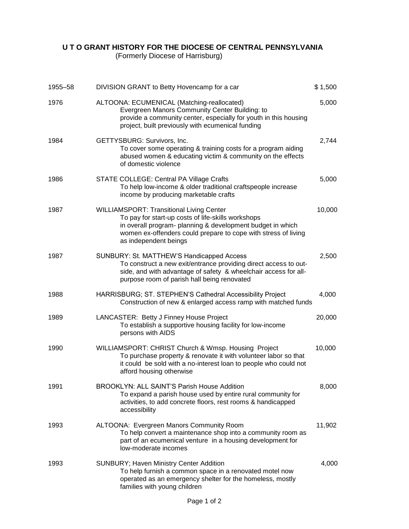## **U T O GRANT HISTORY FOR THE DIOCESE OF CENTRAL PENNSYLVANIA**

(Formerly Diocese of Harrisburg)

| 1955-58 | DIVISION GRANT to Betty Hovencamp for a car                                                                                                                                                                                                                    | \$1,500 |
|---------|----------------------------------------------------------------------------------------------------------------------------------------------------------------------------------------------------------------------------------------------------------------|---------|
| 1976    | ALTOONA: ECUMENICAL (Matching-reallocated)<br>Evergreen Manors Community Center Building: to<br>provide a community center, especially for youth in this housing<br>project, built previously with ecumenical funding                                          | 5,000   |
| 1984    | GETTYSBURG: Survivors, Inc.<br>To cover some operating & training costs for a program aiding<br>abused women & educating victim & community on the effects<br>of domestic violence                                                                             | 2,744   |
| 1986    | STATE COLLEGE: Central PA Village Crafts<br>To help low-income & older traditional craftspeople increase<br>income by producing marketable crafts                                                                                                              | 5,000   |
| 1987    | <b>WILLIAMSPORT: Transitional Living Center</b><br>To pay for start-up costs of life-skills workshops<br>in overall program- planning & development budget in which<br>women ex-offenders could prepare to cope with stress of living<br>as independent beings | 10,000  |
| 1987    | SUNBURY: St. MATTHEW'S Handicapped Access<br>To construct a new exit/entrance providing direct access to out-<br>side, and with advantage of safety & wheelchair access for all-<br>purpose room of parish hall being renovated                                | 2,500   |
| 1988    | HARRISBURG; ST. STEPHEN'S Cathedral Accessibility Project<br>Construction of new & enlarged access ramp with matched funds                                                                                                                                     | 4,000   |
| 1989    | LANCASTER: Betty J Finney House Project<br>To establish a supportive housing facility for low-income<br>persons with AIDS                                                                                                                                      | 20,000  |
| 1990    | WILLIAMSPORT: CHRIST Church & Wmsp. Housing Project<br>To purchase property & renovate it with volunteer labor so that<br>it could be sold with a no-interest loan to people who could not<br>afford housing otherwise                                         | 10,000  |
| 1991    | <b>BROOKLYN: ALL SAINT'S Parish House Addition</b><br>To expand a parish house used by entire rural community for<br>activities, to add concrete floors, rest rooms & handicapped<br>accessibility                                                             | 8,000   |
| 1993    | ALTOONA: Evergreen Manors Community Room<br>To help convert a maintenance shop into a community room as<br>part of an ecumenical venture in a housing development for<br>low-moderate incomes                                                                  | 11,902  |
| 1993    | SUNBURY; Haven Ministry Center Addition<br>To help furnish a common space in a renovated motel now<br>operated as an emergency shelter for the homeless, mostly<br>families with young children                                                                | 4,000   |